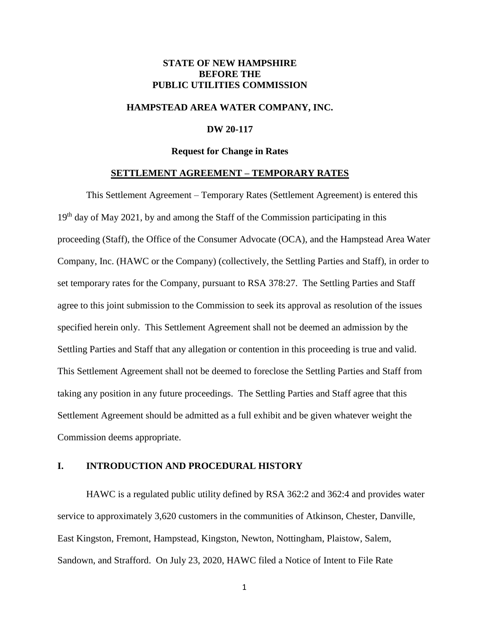## **STATE OF NEW HAMPSHIRE BEFORE THE PUBLIC UTILITIES COMMISSION**

### **HAMPSTEAD AREA WATER COMPANY, INC.**

#### **DW 20-117**

#### **Request for Change in Rates**

#### **SETTLEMENT AGREEMENT – TEMPORARY RATES**

This Settlement Agreement – Temporary Rates (Settlement Agreement) is entered this  $19<sup>th</sup>$  day of May 2021, by and among the Staff of the Commission participating in this proceeding (Staff), the Office of the Consumer Advocate (OCA), and the Hampstead Area Water Company, Inc. (HAWC or the Company) (collectively, the Settling Parties and Staff), in order to set temporary rates for the Company, pursuant to RSA 378:27. The Settling Parties and Staff agree to this joint submission to the Commission to seek its approval as resolution of the issues specified herein only. This Settlement Agreement shall not be deemed an admission by the Settling Parties and Staff that any allegation or contention in this proceeding is true and valid. This Settlement Agreement shall not be deemed to foreclose the Settling Parties and Staff from taking any position in any future proceedings. The Settling Parties and Staff agree that this Settlement Agreement should be admitted as a full exhibit and be given whatever weight the Commission deems appropriate.

### **I. INTRODUCTION AND PROCEDURAL HISTORY**

HAWC is a regulated public utility defined by RSA 362:2 and 362:4 and provides water service to approximately 3,620 customers in the communities of Atkinson, Chester, Danville, East Kingston, Fremont, Hampstead, Kingston, Newton, Nottingham, Plaistow, Salem, Sandown, and Strafford. On July 23, 2020, HAWC filed a Notice of Intent to File Rate

1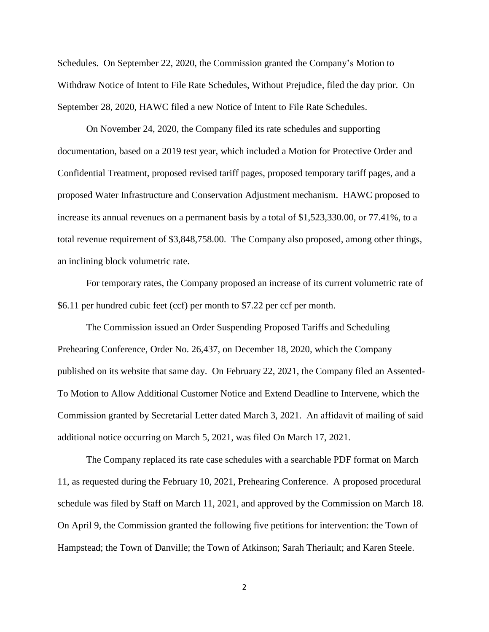Schedules. On September 22, 2020, the Commission granted the Company's Motion to Withdraw Notice of Intent to File Rate Schedules, Without Prejudice, filed the day prior. On September 28, 2020, HAWC filed a new Notice of Intent to File Rate Schedules.

On November 24, 2020, the Company filed its rate schedules and supporting documentation, based on a 2019 test year, which included a Motion for Protective Order and Confidential Treatment, proposed revised tariff pages, proposed temporary tariff pages, and a proposed Water Infrastructure and Conservation Adjustment mechanism. HAWC proposed to increase its annual revenues on a permanent basis by a total of \$1,523,330.00, or 77.41%, to a total revenue requirement of \$3,848,758.00. The Company also proposed, among other things, an inclining block volumetric rate.

For temporary rates, the Company proposed an increase of its current volumetric rate of \$6.11 per hundred cubic feet (ccf) per month to \$7.22 per ccf per month.

The Commission issued an Order Suspending Proposed Tariffs and Scheduling Prehearing Conference, Order No. 26,437, on December 18, 2020, which the Company published on its website that same day. On February 22, 2021, the Company filed an Assented-To Motion to Allow Additional Customer Notice and Extend Deadline to Intervene, which the Commission granted by Secretarial Letter dated March 3, 2021. An affidavit of mailing of said additional notice occurring on March 5, 2021, was filed On March 17, 2021.

The Company replaced its rate case schedules with a searchable PDF format on March 11, as requested during the February 10, 2021, Prehearing Conference. A proposed procedural schedule was filed by Staff on March 11, 2021, and approved by the Commission on March 18. On April 9, the Commission granted the following five petitions for intervention: the Town of Hampstead; the Town of Danville; the Town of Atkinson; Sarah Theriault; and Karen Steele.

2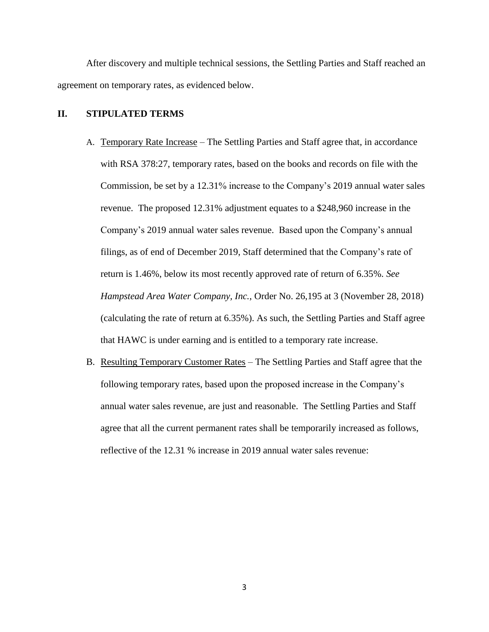After discovery and multiple technical sessions, the Settling Parties and Staff reached an agreement on temporary rates, as evidenced below.

# **II. STIPULATED TERMS**

- A. Temporary Rate Increase The Settling Parties and Staff agree that, in accordance with RSA 378:27, temporary rates, based on the books and records on file with the Commission, be set by a 12.31% increase to the Company's 2019 annual water sales revenue. The proposed 12.31% adjustment equates to a \$248,960 increase in the Company's 2019 annual water sales revenue. Based upon the Company's annual filings, as of end of December 2019, Staff determined that the Company's rate of return is 1.46%, below its most recently approved rate of return of 6.35%. *See Hampstead Area Water Company, Inc.*, Order No. 26,195 at 3 (November 28, 2018) (calculating the rate of return at 6.35%). As such, the Settling Parties and Staff agree that HAWC is under earning and is entitled to a temporary rate increase.
- B. Resulting Temporary Customer Rates The Settling Parties and Staff agree that the following temporary rates, based upon the proposed increase in the Company's annual water sales revenue, are just and reasonable. The Settling Parties and Staff agree that all the current permanent rates shall be temporarily increased as follows, reflective of the 12.31 % increase in 2019 annual water sales revenue:

3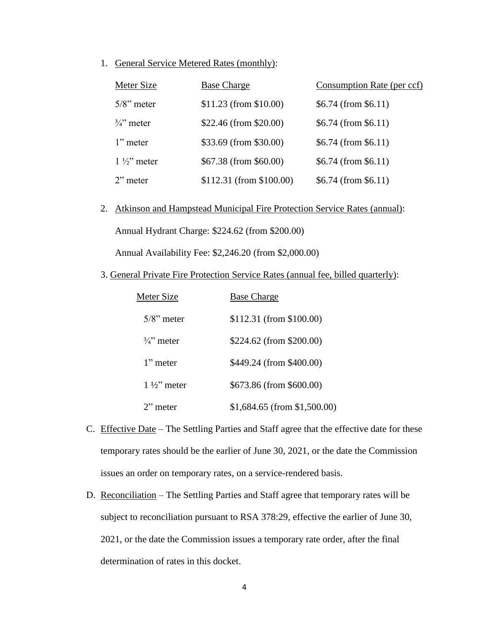1. General Service Metered Rates (monthly):

| Meter Size            | <b>Base Charge</b>        | Consumption Rate (per ccf) |
|-----------------------|---------------------------|----------------------------|
| $5/8$ " meter         | $$11.23$ (from \$10.00)   | $$6.74$ (from \$6.11)      |
| $\frac{3}{4}$ " meter | \$22.46 (from \$20.00)    | $$6.74$ (from \$6.11)      |
| $1$ " meter           | \$33.69 (from \$30.00)    | $$6.74$ (from \$6.11)      |
| $1\frac{1}{2}$ meter  | \$67.38 (from \$60.00)    | $$6.74$ (from \$6.11)      |
| $2$ " meter           | $$112.31$ (from \$100.00) | $$6.74$ (from \$6.11)      |

2. Atkinson and Hampstead Municipal Fire Protection Service Rates (annual):

Annual Hydrant Charge: \$224.62 (from \$200.00)

Annual Availability Fee: \$2,246.20 (from \$2,000.00)

3. General Private Fire Protection Service Rates (annual fee, billed quarterly):

| Meter Size            | <b>Base Charge</b>           |
|-----------------------|------------------------------|
| $5/8$ " meter         | \$112.31 (from \$100.00)     |
| $\frac{3}{4}$ " meter | \$224.62 (from \$200.00)     |
| 1" meter              | \$449.24 (from \$400.00)     |
| $1\frac{1}{2}$ meter  | \$673.86 (from \$600.00)     |
| $2$ " meter           | \$1,684.65 (from \$1,500.00) |

- C. Effective Date The Settling Parties and Staff agree that the effective date for these temporary rates should be the earlier of June 30, 2021, or the date the Commission issues an order on temporary rates, on a service-rendered basis.
- D. Reconciliation The Settling Parties and Staff agree that temporary rates will be subject to reconciliation pursuant to RSA 378:29, effective the earlier of June 30, 2021, or the date the Commission issues a temporary rate order, after the final determination of rates in this docket.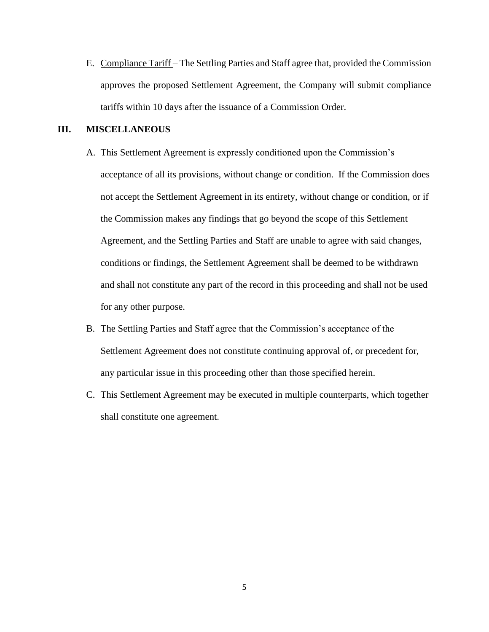E. Compliance Tariff – The Settling Parties and Staff agree that, provided the Commission approves the proposed Settlement Agreement, the Company will submit compliance tariffs within 10 days after the issuance of a Commission Order.

# **III. MISCELLANEOUS**

- A. This Settlement Agreement is expressly conditioned upon the Commission's acceptance of all its provisions, without change or condition. If the Commission does not accept the Settlement Agreement in its entirety, without change or condition, or if the Commission makes any findings that go beyond the scope of this Settlement Agreement, and the Settling Parties and Staff are unable to agree with said changes, conditions or findings, the Settlement Agreement shall be deemed to be withdrawn and shall not constitute any part of the record in this proceeding and shall not be used for any other purpose.
- B. The Settling Parties and Staff agree that the Commission's acceptance of the Settlement Agreement does not constitute continuing approval of, or precedent for, any particular issue in this proceeding other than those specified herein.
- C. This Settlement Agreement may be executed in multiple counterparts, which together shall constitute one agreement.